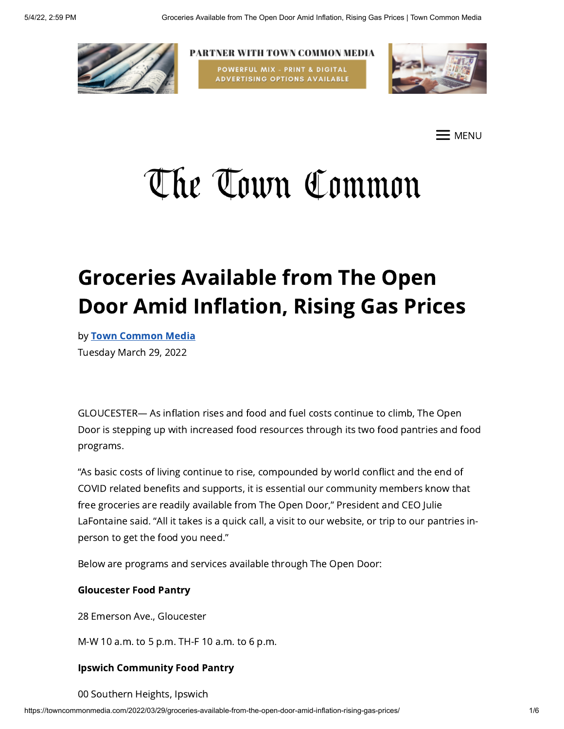

PARTNER WITH TOWN COMMON MEDIA POWERFUL MIX - PRINT & DIGITAL **ADVERTISING OPTIONS AVAILABLE** 



E menu

# The Town Common

# Groceries Available from The Open Door Amid Inflation, Rising Gas Prices

by Town [Common](https://towncommonmedia.com/author/towncommonmedia/) Media Tuesday March 29, 2022

GLOUCESTER— As inflation rises and food and fuel costs continue to climb, The Open Door is stepping up with increased food resources through its two food pantries and food programs.

"As basic costs of living continue to rise, compounded by world conflict and the end of COVID related benefits and supports, it is essential our community members know that free groceries are readily available from The Open Door," President and CEO Julie LaFontaine said. "All it takes is a quick call, a visit to our website, or trip to our pantries inperson to get the food you need."

Below are programs and services available through The Open Door:

#### Gloucester Food Pantry

28 Emerson Ave., Gloucester

M-W 10 a.m. to 5 p.m. TH-F 10 a.m. to 6 p.m.

#### Ipswich Community Food Pantry

00 Southern Heights, Ipswich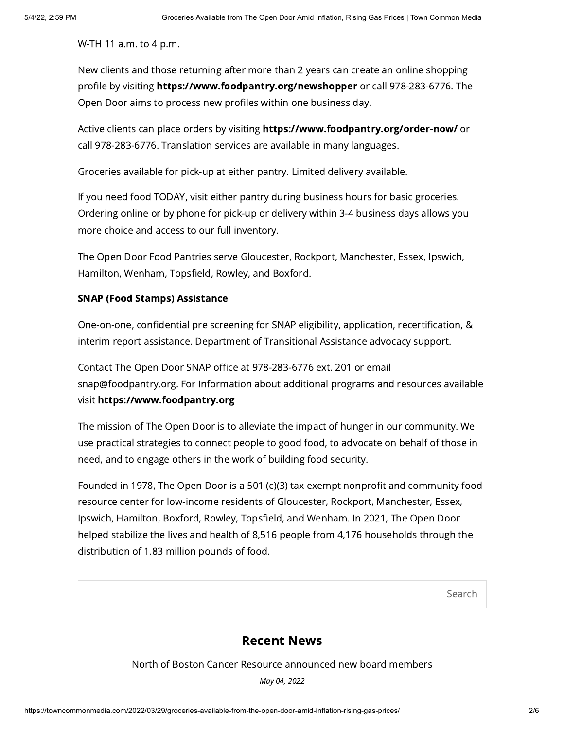W-TH 11 a.m. to 4 p.m.

New clients and those returning after more than 2 years can create an online shopping profile by visiting https://www.foodpantry.org/newshopper or call 978-283-6776. The Open Door aims to process new profiles within one business day.

Active clients can place orders by visiting https://www.foodpantry.org/order-now/ or call 978-283-6776. Translation services are available in many languages.

Groceries available for pick-up at either pantry. Limited delivery available.

If you need food TODAY, visit either pantry during business hours for basic groceries. Ordering online or by phone for pick-up or delivery within 3-4 business days allows you more choice and access to our full inventory.

The Open Door Food Pantries serve Gloucester, Rockport, Manchester, Essex, Ipswich, Hamilton, Wenham, Topsfield, Rowley, and Boxford.

#### SNAP (Food Stamps) Assistance

One-on-one, confidential pre screening for SNAP eligibility, application, recertification, & interim report assistance. Department of Transitional Assistance advocacy support.

Contact The Open Door SNAP office at 978-283-6776 ext. 201 or email snap@foodpantry.org. For Information about additional programs and resources available visit https://www.foodpantry.org

The mission of The Open Door is to alleviate the impact of hunger in our community. We use practical strategies to connect people to good food, to advocate on behalf of those in need, and to engage others in the work of building food security.

Founded in 1978, The Open Door is a 501 (c)(3) tax exempt nonprofit and community food resource center for low-income residents of Gloucester, Rockport, Manchester, Essex, Ipswich, Hamilton, Boxford, Rowley, Topsfield, and Wenham. In 2021, The Open Door helped stabilize the lives and health of 8,516 people from 4,176 households through the distribution of 1.83 million pounds of food.

Search

#### Recent News

North of Boston Cancer Resource [announced](https://towncommonmedia.com/2022/05/04/north-of-boston-cancer-resource-announced-new-board-members/) new board members

May 04, 2022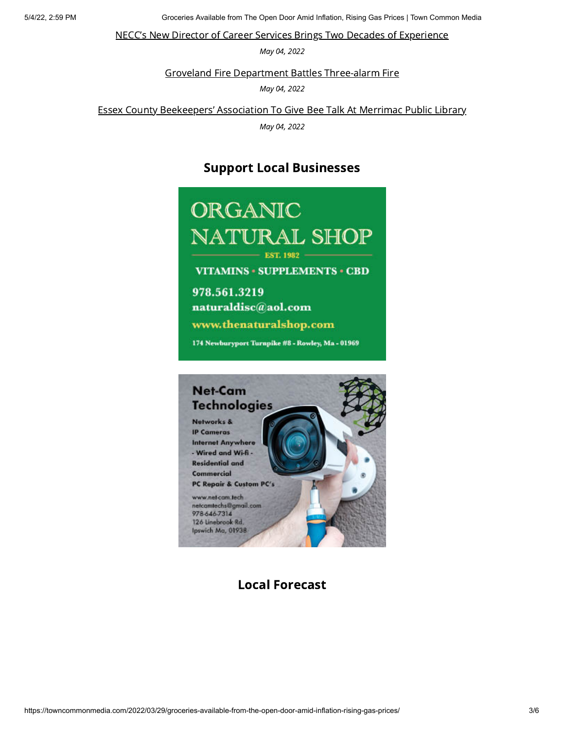5/4/22, 2:59 PM Groceries Available from The Open Door Amid Inflation, Rising Gas Prices | Town Common Media

NECC's New Director of Career Services Brings Two Decades of [Experience](https://towncommonmedia.com/2022/05/04/neccs-new-director-of-career-services-brings-two-decades-of-experience/)

May 04, 2022

Groveland Fire Department Battles [Three-alarm](https://towncommonmedia.com/2022/05/04/groveland-fire-department-battles-three-alarm-fire/) Fire

May 04, 2022

Essex County [Beekeepers'](https://towncommonmedia.com/2022/05/04/essex-county-beekeepers-association-to-give-bee-talk-at-merrimac-public-library/) Association To Give Bee Talk At Merrimac Public Library

May 04, 2022

### Support Local Businesses





Local Forecast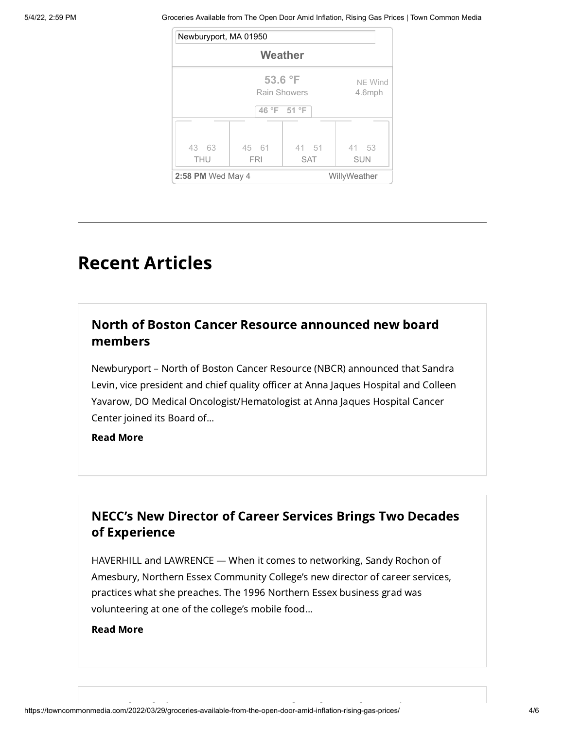5/4/22, 2:59 PM Groceries Available from The Open Door Amid Inflation, Rising Gas Prices | Town Common Media

| Newburyport, MA 01950 |                         |                     |                     |
|-----------------------|-------------------------|---------------------|---------------------|
| Weather               |                         |                     |                     |
|                       | 53.6 °F<br>Rain Showers | NE Wind<br>4.6mph   |                     |
| 46 °F 51 °F           |                         |                     |                     |
| 43 63<br><b>THU</b>   | 45 61<br><b>FRI</b>     | 41 51<br><b>SAT</b> | 41 53<br><b>SUN</b> |
| 2:58 PM Wed May 4     |                         | WillyWeather        |                     |

# Recent Articles

## North of Boston Cancer Resource [announced](https://towncommonmedia.com/2022/05/04/north-of-boston-cancer-resource-announced-new-board-members/) new board members

Newburyport – North of Boston Cancer Resource (NBCR) announced that Sandra Levin, vice president and chief quality officer at Anna Jaques Hospital and Colleen Yavarow, DO Medical Oncologist/Hematologist at Anna Jaques Hospital Cancer Center joined its Board of...

#### Read [More](https://towncommonmedia.com/2022/05/04/north-of-boston-cancer-resource-announced-new-board-members/)

# NECC's New Director of Career Services Brings Two Decades of [Experience](https://towncommonmedia.com/2022/05/04/neccs-new-director-of-career-services-brings-two-decades-of-experience/)

HAVERHILL and LAWRENCE — When it comes to networking, Sandy Rochon of Amesbury, Northern Essex Community College's new director of career services, practices what she preaches. The 1996 Northern Essex business grad was volunteering at one of the college's mobile food...

#### Read [More](https://towncommonmedia.com/2022/05/04/neccs-new-director-of-career-services-brings-two-decades-of-experience/)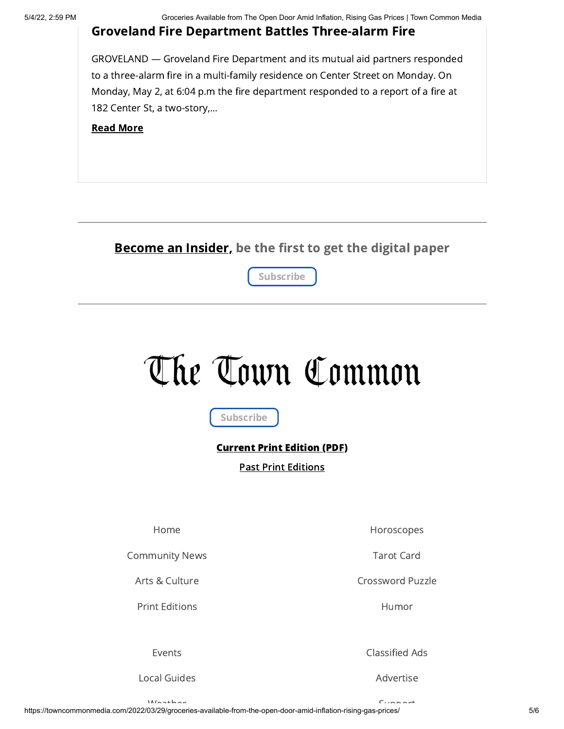#### Groveland Fire Department Battles [Three-alarm](https://towncommonmedia.com/2022/05/04/groveland-fire-department-battles-three-alarm-fire/) Fire

GROVELAND — Groveland Fire Department and its mutual aid partners responded to a three-alarm fire in a multi-family residence on Center Street on Monday. On Monday, May 2, at 6:04 p.m the fire department responded to a report of a fire at 182 Center St, a two-story,...

#### Read [More](https://towncommonmedia.com/2022/05/04/groveland-fire-department-battles-three-alarm-fire/)

### Become an Insider, be the first to get the digital paper



# The Town Common

Subscribe

#### [Current](https://towncommonmedia.com/wp-content/uploads/2022/05/TTC_05_04_22_Vol.18-No.28-web.pdf) Print Edition (PDF)

Past Print [Editions](https://towncommonmedia.com/print-editions/)

[Home](https://towncommonmedia.com/)

[Community](https://towncommonmedia.com/community-news/) News

Arts & [Culture](https://towncommonmedia.com/arts-culture/)

Print [Editions](https://towncommonmedia.com/print-editions/)

[Events](https://towncommonmedia.com/events/)

Local [Guides](https://towncommonmedia.com/local-guides/)

[Horoscopes](https://towncommonmedia.com/horoscopes/)

[Tarot](https://towncommonmedia.com/tarot-cards/) Card

[Crossword](https://towncommonmedia.com/crosswords/) Puzzle

[Humor](https://towncommonmedia.com/comics/)

[Classified](https://towncommonmedia.com/classifieds/) Ads

[Advertise](https://towncommonmedia.com/advertise/)

[Support](https://towncommonmedia.com/support/)

[Weather](https://towncommonmedia.com/weather/)

https://towncommonmedia.com/2022/03/29/groceries-available-from-the-open-door-amid-inflation-rising-gas-prices/ 5/6